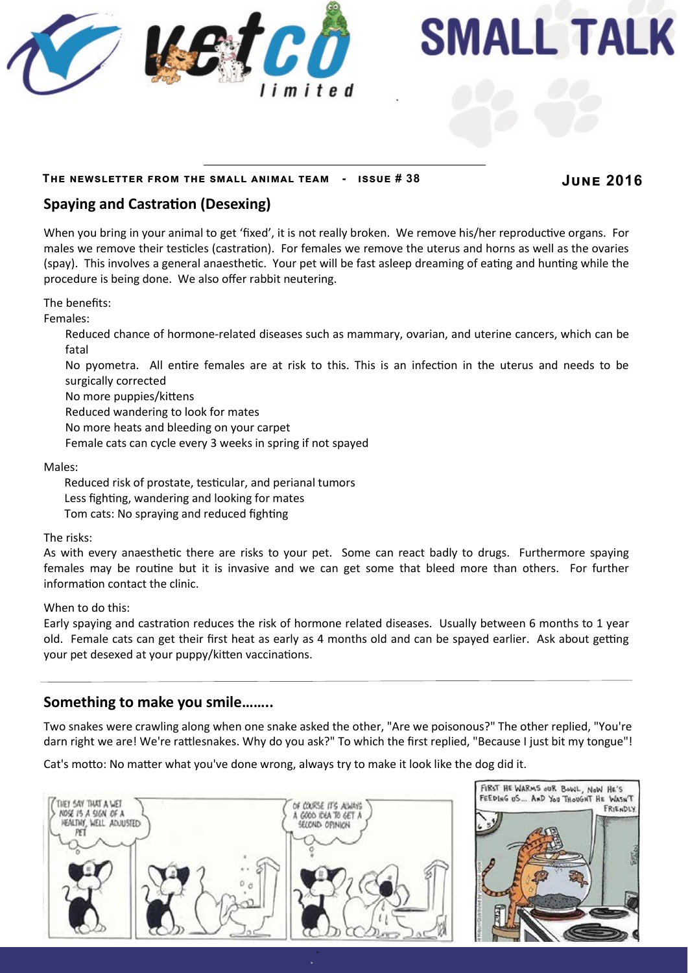

**SMALL TALK** 

#### **The newsletter from the small animal team - issue # 38 June 2016**

# **Spaying and Castration (Desexing)**

When you bring in your animal to get 'fixed', it is not really broken. We remove his/her reproductive organs. For males we remove their testicles (castration). For females we remove the uterus and horns as well as the ovaries (spay). This involves a general anaesthetic. Your pet will be fast asleep dreaming of eating and hunting while the procedure is being done. We also offer rabbit neutering.

The benefits:

Females:

Reduced chance of hormone-related diseases such as mammary, ovarian, and uterine cancers, which can be fatal

No pyometra. All entire females are at risk to this. This is an infection in the uterus and needs to be surgically corrected

No more puppies/kittens

Reduced wandering to look for mates

No more heats and bleeding on your carpet

Female cats can cycle every 3 weeks in spring if not spayed

Males:

Reduced risk of prostate, testicular, and perianal tumors Less fighting, wandering and looking for mates Tom cats: No spraying and reduced fighting

The risks:

As with every anaesthetic there are risks to your pet. Some can react badly to drugs. Furthermore spaying females may be routine but it is invasive and we can get some that bleed more than others. For further information contact the clinic.

When to do this:

Early spaying and castration reduces the risk of hormone related diseases. Usually between 6 months to 1 year old. Female cats can get their first heat as early as 4 months old and can be spayed earlier. Ask about getting your pet desexed at your puppy/kitten vaccinations.

#### **Something to make you smile……..**

Two snakes were crawling along when one snake asked the other, "Are we poisonous?" The other replied, "You're darn right we are! We're rattlesnakes. Why do you ask?" To which the first replied, "Because I just bit my tongue"!

Cat's motto: No matter what you've done wrong, always try to make it look like the dog did it.